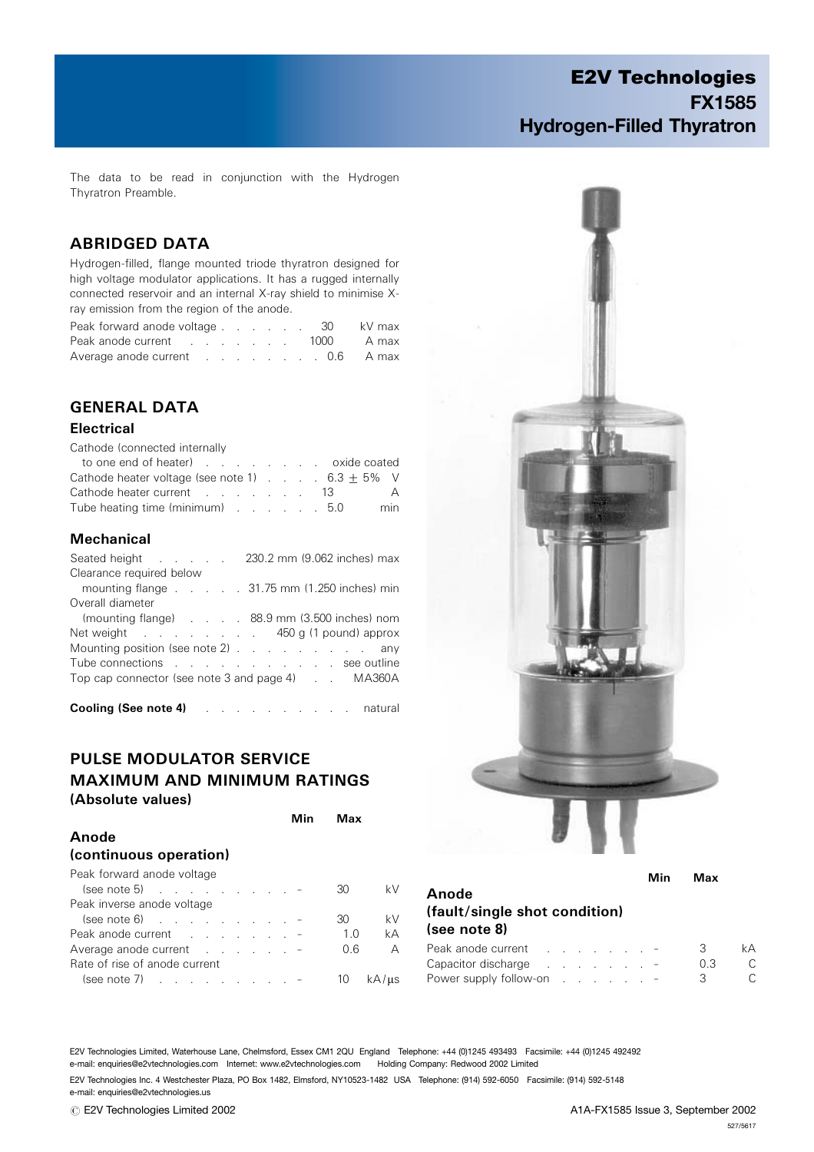The data to be read in conjunction with the Hydrogen Thyratron Preamble.

## ABRIDGED DATA

Hydrogen-filled, flange mounted triode thyratron designed for high voltage modulator applications. It has a rugged internally connected reservoir and an internal X-ray shield to minimise Xray emission from the region of the anode.

| Peak forward anode voltage 30   |  |  |  |  | kV max |
|---------------------------------|--|--|--|--|--------|
| Peak anode current 1000 A max   |  |  |  |  |        |
| Average anode current 0.6 A max |  |  |  |  |        |

## GENERAL DATA

#### **Electrical**

Cathode (connected internally

| to one end of heater) exide coated                      |  |  |  |  |                |
|---------------------------------------------------------|--|--|--|--|----------------|
| Cathode heater voltage (see note 1) $\ldots$ 6.3 + 5% V |  |  |  |  |                |
| Cathode heater current 13                               |  |  |  |  | $\overline{A}$ |
| Tube heating time (minimum) 5.0                         |  |  |  |  | min            |

#### Mechanical

| Clearance required below<br>mounting flange $\ldots$ $\ldots$ $\ldots$ 31.75 mm (1.250 inches) min<br>Overall diameter<br>(mounting flange) 88.9 mm (3.500 inches) nom |
|------------------------------------------------------------------------------------------------------------------------------------------------------------------------|
|                                                                                                                                                                        |
|                                                                                                                                                                        |
|                                                                                                                                                                        |
|                                                                                                                                                                        |
| Net weight 450 g (1 pound) approx                                                                                                                                      |
| Mounting position (see note 2) any                                                                                                                                     |
| Tube connections see outline                                                                                                                                           |
| Top cap connector (see note 3 and page 4) Top Cap MA360A                                                                                                               |
|                                                                                                                                                                        |

Cooling (See note 4) .......... natural

## PULSE MODULATOR SERVICE MAXIMUM AND MINIMUM RATINGS (Absolute values)

|                                | Min | Max |            |
|--------------------------------|-----|-----|------------|
| Anode                          |     |     |            |
| (continuous operation)         |     |     |            |
| Peak forward anode voltage     |     |     |            |
| $(see note 5)$                 |     | 30  | kV         |
| Peak inverse anode voltage     |     |     |            |
| $(\text{see note 6})$          |     | 30  | kV         |
|                                |     | 1 O | kA         |
| Average anode current $\cdots$ |     | 0.6 | A          |
| Rate of rise of anode current  |     |     |            |
| $(see note 7)$ -               |     | 10  | $kA/\mu s$ |



| Anode<br>(fault/single shot condition)<br>(see note 8)                                                                                                                                                                         |  |  |                                     |  | Min | Max |    |
|--------------------------------------------------------------------------------------------------------------------------------------------------------------------------------------------------------------------------------|--|--|-------------------------------------|--|-----|-----|----|
| Peak anode current expansion of the set of the set of the set of the set of the set of the set of the set of the set of the set of the set of the set of the set of the set of the set of the set of the set of the set of the |  |  |                                     |  |     | 3   | kΑ |
| Capacitor discharge                                                                                                                                                                                                            |  |  | the contract of the contract of the |  |     | 0.3 | C. |
| Power supply follow-on $\ldots$ $\ldots$ $\ldots$                                                                                                                                                                              |  |  |                                     |  |     | З   |    |

E2V Technologies Limited, Waterhouse Lane, Chelmsford, Essex CM1 2QU England Telephone: +44 (0)1245 493493 Facsimile: +44 (0)1245 492492 e-mail: enquiries@e2vtechnologies.com Internet: www.e2vtechnologies.com Holding Company: Redwood 2002 Limited

E2V Technologies Inc. 4 Westchester Plaza, PO Box 1482, Elmsford, NY10523-1482 USA Telephone: (914) 592-6050 Facsimile: (914) 592-5148 e-mail: enquiries@e2vtechnologies.us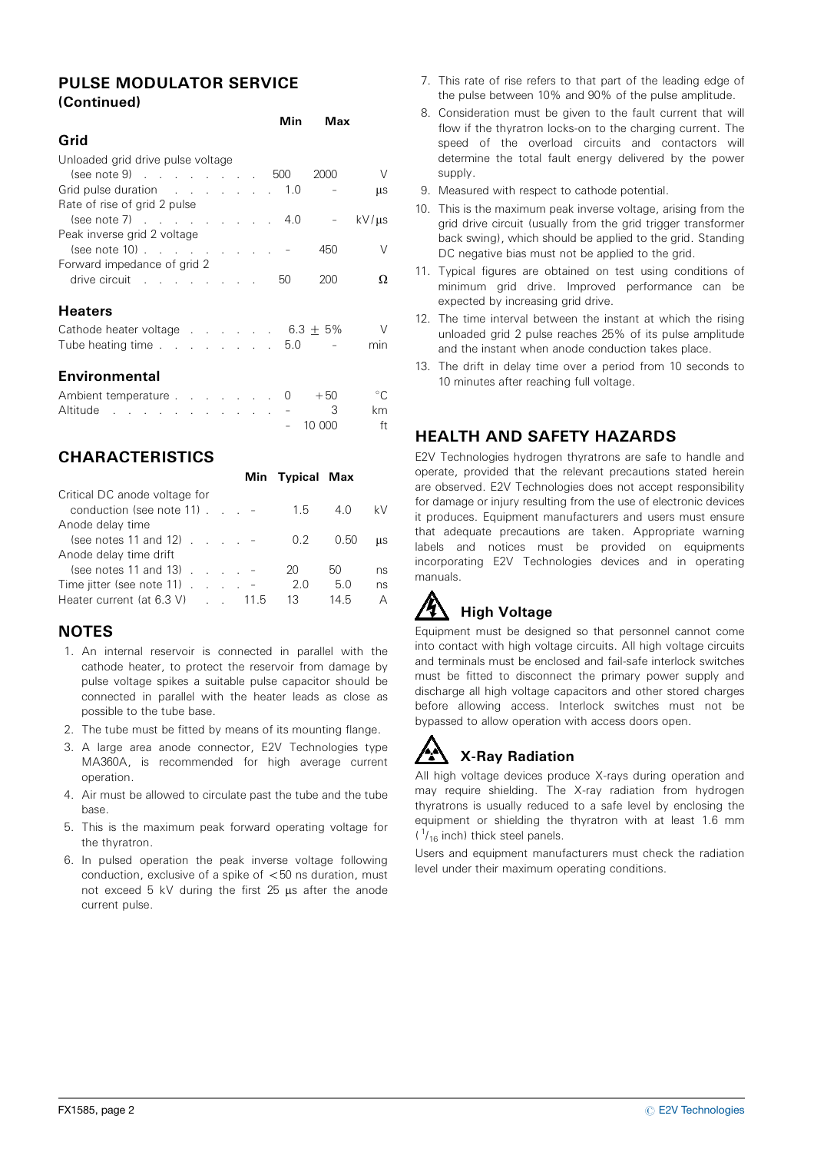### PULSE MODULATOR SERVICE (Continued)

|                                              |  |  | Min | Max   |            |
|----------------------------------------------|--|--|-----|-------|------------|
| Grid                                         |  |  |     |       |            |
| Unloaded grid drive pulse voltage            |  |  |     |       |            |
| $(see note 9)$ 500                           |  |  |     | 2000  | $\vee$     |
| Grid pulse duration 1.0                      |  |  |     |       | μs         |
| Rate of rise of grid 2 pulse                 |  |  |     |       |            |
| (see note 7) $(3.66 \times 10^{-14})$ 4.0    |  |  |     |       | $kV/\mu s$ |
| Peak inverse grid 2 voltage                  |  |  |     |       |            |
| $(see note 10)$                              |  |  |     | 450   | V          |
| Forward impedance of grid 2                  |  |  |     |       |            |
| drive circuit                                |  |  | 50  | 200   | Ω          |
| <b>Heaters</b>                               |  |  |     |       |            |
| Cathode heater voltage $\ldots$ 6.3 $\pm$ 5% |  |  |     |       | $\vee$     |
| Tube heating time 5.0                        |  |  |     |       | min        |
| Environmental                                |  |  |     |       |            |
| Ambient temperature                          |  |  |     | $+50$ |            |

## **CHARACTERISTICS**

|                                                                                                                                    |      | Min Typical Max |                  |               |
|------------------------------------------------------------------------------------------------------------------------------------|------|-----------------|------------------|---------------|
| Critical DC anode voltage for<br>conduction (see note $11$ ) $\ldots$ -                                                            |      | 1.5             | 4.0              | kV            |
| Anode delay time<br>(see notes 11 and 12) $\ldots$ $\ldots$<br>Anode delay time drift                                              |      | $0.2^{\circ}$   | 0.50             | <b>LLS</b>    |
| (see notes 11 and 13) $\ldots$ $\ldots$<br>Time jitter (see note $11$ ) $\ldots$ $\ldots$<br>Heater current (at $6.3 \text{ V}$ ). | 11.5 | 20<br>2.0<br>13 | 50<br>5.0<br>145 | ns<br>ns<br>А |

Altitude . . . . . . . . . . . . . . . . 3 km

– 10 000 ft

## **NOTES**

- 1. An internal reservoir is connected in parallel with the cathode heater, to protect the reservoir from damage by pulse voltage spikes a suitable pulse capacitor should be connected in parallel with the heater leads as close as possible to the tube base.
- 2. The tube must be fitted by means of its mounting flange.
- 3. A large area anode connector, E2V Technologies type MA360A, is recommended for high average current operation.
- 4. Air must be allowed to circulate past the tube and the tube base.
- 5. This is the maximum peak forward operating voltage for the thyratron.
- 6. In pulsed operation the peak inverse voltage following conduction, exclusive of a spike of  $<$  50 ns duration, must not exceed  $5$  kV during the first  $25$   $\mu s$  after the anode current pulse.
- 7. This rate of rise refers to that part of the leading edge of the pulse between 10% and 90% of the pulse amplitude.
- 8. Consideration must be given to the fault current that will flow if the thyratron locks-on to the charging current. The speed of the overload circuits and contactors will determine the total fault energy delivered by the power supply.
- 9. Measured with respect to cathode potential.
- 10. This is the maximum peak inverse voltage, arising from the grid drive circuit (usually from the grid trigger transformer back swing), which should be applied to the grid. Standing DC negative bias must not be applied to the grid.
- 11. Typical figures are obtained on test using conditions of minimum grid drive. Improved performance can be expected by increasing grid drive.
- 12. The time interval between the instant at which the rising unloaded grid 2 pulse reaches 25% of its pulse amplitude and the instant when anode conduction takes place.
- 13. The drift in delay time over a period from 10 seconds to 10 minutes after reaching full voltage.

## HEALTH AND SAFETY HAZARDS

E2V Technologies hydrogen thyratrons are safe to handle and operate, provided that the relevant precautions stated herein are observed. E2V Technologies does not accept responsibility for damage or injury resulting from the use of electronic devices it produces. Equipment manufacturers and users must ensure that adequate precautions are taken. Appropriate warning labels and notices must be provided on equipments incorporating E2V Technologies devices and in operating manuals.

## **High Voltage**

Equipment must be designed so that personnel cannot come into contact with high voltage circuits. All high voltage circuits and terminals must be enclosed and fail-safe interlock switches must be fitted to disconnect the primary power supply and discharge all high voltage capacitors and other stored charges before allowing access. Interlock switches must not be bypassed to allow operation with access doors open.

# X-Ray Radiation

All high voltage devices produce X-rays during operation and may require shielding. The X-ray radiation from hydrogen thyratrons is usually reduced to a safe level by enclosing the equipment or shielding the thyratron with at least 1.6 mm  $(1/16$  inch) thick steel panels.

Users and equipment manufacturers must check the radiation level under their maximum operating conditions.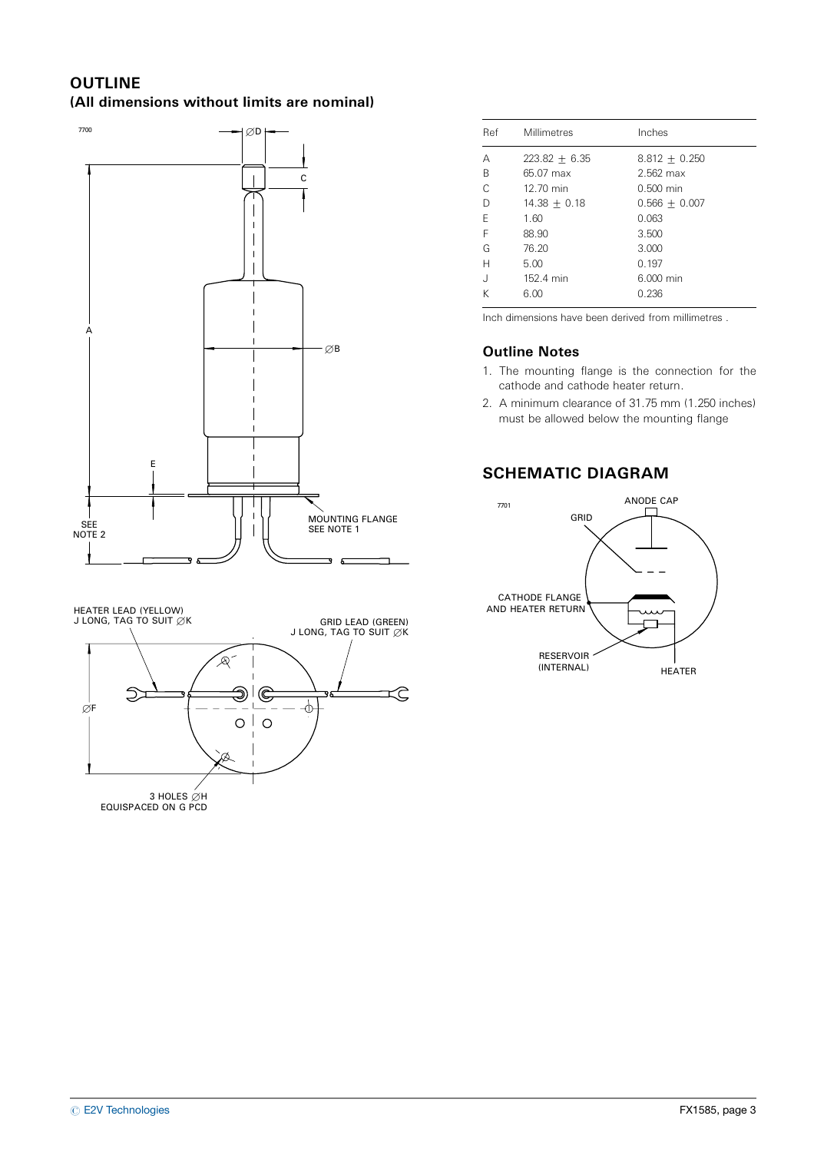#### **OUTLINE** (All dimensions without limits are nominal)



HEATER LEAD (YELLOW) J LONG, TAG TO SUIT  $\emptyset$ K GRID LEAD (GREEN) J LONG, TAG TO SUIT  $\emptyset$ K A- $\supset$ Э  $\mathfrak{C}$ Ĉ ሐ  $\varnothing$ F  $\circ$  $\mathbf{I}$  $\circ$ Ø 3 HOLES ∅H<br>EQUISPACED ON G PCD

| Ref       | Millimetres     | Inches          |
|-----------|-----------------|-----------------|
| А         | $223.82 + 6.35$ | $8.812 + 0.250$ |
| B         | 65.07 max       | $2.562$ max     |
| $\subset$ | 12.70 min       | $0.500$ min     |
| D         | $14.38 + 0.18$  | $0.566 + 0.007$ |
| F         | 1.60            | 0.063           |
| F         | 88.90           | 3.500           |
| G         | 76.20           | 3.000           |
| Н         | 5.00            | 0.197           |
| J         | 152.4 min       | 6.000 min       |
| K         | 6.00            | 0.236           |

Inch dimensions have been derived from millimetres .

### Outline Notes

- 1. The mounting flange is the connection for the cathode and cathode heater return.
- 2. A minimum clearance of 31.75 mm (1.250 inches) must be allowed below the mounting flange

## SCHEMATIC DIAGRAM